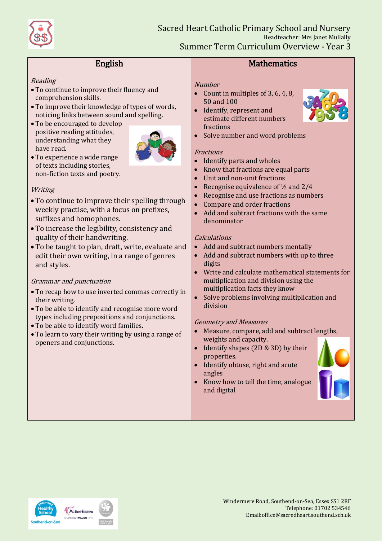

Sacred Heart Catholic Primary School and Nursery Headteacher: Mrs Janet Mullally Summer Term Curriculum Overview - Year 3

# English

### Reading

- To continue to improve their fluency and comprehension skills.
- To improve their knowledge of types of words, noticing links between sound and spelling.
- To be encouraged to develop positive reading attitudes, understanding what they have read.



 To experience a wide range of texts including stories, non-fiction texts and poetry.

### **Writing**

- To continue to improve their spelling through weekly practise, with a focus on prefixes, suffixes and homophones.
- To increase the legibility, consistency and quality of their handwriting.
- To be taught to plan, draft, write, evaluate and edit their own writing, in a range of genres and styles.

### Grammar and punctuation

- To recap how to use inverted commas correctly in their writing.
- To be able to identify and recognise more word types including prepositions and conjunctions.
- To be able to identify word families.
- To learn to vary their writing by using a range of openers and conjunctions.

## **Mathematics**

#### **Number**

- Count in multiples of  $3, 6, 4, 8$ , 50 and 100
- Identify, represent and estimate different numbers fractions
- Solve number and word problems

### **Fractions**

- Identify parts and wholes
- Know that fractions are equal parts
- Unit and non-unit fractions
- Recognise equivalence of ½ and 2/4
- Recognise and use fractions as numbers
- Compare and order fractions
- Add and subtract fractions with the same denominator

### Calculations

- Add and subtract numbers mentally
- Add and subtract numbers with up to three digits
- Write and calculate mathematical statements for multiplication and division using the multiplication facts they know
- Solve problems involving multiplication and division

### Geometry and Measures

- Measure, compare, add and subtract lengths, weights and capacity.
- Identify shapes  $(2D & 3D)$  by their properties.
- Identify obtuse, right and acute angles
- Know how to tell the time, analogue and digital





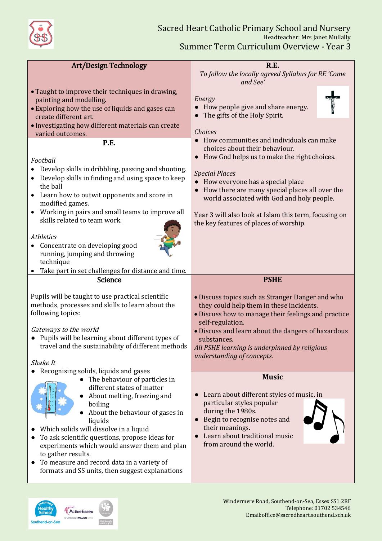

| <b>Art/Design Technology</b>                                                  | <b>R.E.</b>                                                             |
|-------------------------------------------------------------------------------|-------------------------------------------------------------------------|
|                                                                               | To follow the locally agreed Syllabus for RE 'Come<br>and See'          |
| • Taught to improve their techniques in drawing,                              |                                                                         |
| painting and modelling.                                                       | Energy                                                                  |
| • Exploring how the use of liquids and gases can                              | How people give and share energy.                                       |
| create different art.                                                         | The gifts of the Holy Spirit.                                           |
| · Investigating how different materials can create                            |                                                                         |
| varied outcomes.                                                              | <b>Choices</b>                                                          |
| P.E.                                                                          | • How communities and individuals can make                              |
|                                                                               | choices about their behaviour.                                          |
| Football                                                                      | How God helps us to make the right choices.                             |
| Develop skills in dribbling, passing and shooting.                            | <b>Special Places</b>                                                   |
| Develop skills in finding and using space to keep<br>$\bullet$                | How everyone has a special place                                        |
| the ball                                                                      | How there are many special places all over the                          |
| Learn how to outwit opponents and score in                                    | world associated with God and holy people.                              |
| modified games.<br>Working in pairs and small teams to improve all            |                                                                         |
| $\bullet$<br>skills related to team work.                                     | Year 3 will also look at Islam this term, focusing on                   |
|                                                                               | the key features of places of worship.                                  |
| Athletics                                                                     |                                                                         |
| Concentrate on developing good                                                |                                                                         |
| running, jumping and throwing                                                 |                                                                         |
| technique                                                                     |                                                                         |
|                                                                               |                                                                         |
| Take part in set challenges for distance and time.                            |                                                                         |
| Science                                                                       | <b>PSHE</b>                                                             |
|                                                                               |                                                                         |
| Pupils will be taught to use practical scientific                             | • Discuss topics such as Stranger Danger and who                        |
| methods, processes and skills to learn about the                              | they could help them in these incidents.                                |
| following topics:                                                             | • Discuss how to manage their feelings and practice<br>self-regulation. |
| Gateways to the world                                                         | · Discuss and learn about the dangers of hazardous                      |
| • Pupils will be learning about different types of                            | substances.                                                             |
| travel and the sustainability of different methods                            | All PSHE learning is underpinned by religious                           |
|                                                                               | understanding of concepts.                                              |
| Shake It                                                                      |                                                                         |
| Recognising solids, liquids and gases                                         | <b>Music</b>                                                            |
| • The behaviour of particles in<br>different states of matter                 |                                                                         |
| About melting, freezing and                                                   | Learn about different styles of music, in                               |
| boiling                                                                       | particular styles popular                                               |
| About the behaviour of gases in                                               | during the 1980s.                                                       |
| liquids                                                                       | Begin to recognise notes and<br>$\bullet$                               |
| Which solids will dissolve in a liquid                                        | their meanings.                                                         |
| To ask scientific questions, propose ideas for                                | Learn about traditional music<br>from around the world.                 |
| experiments which would answer them and plan                                  |                                                                         |
| to gather results.<br>To measure and record data in a variety of<br>$\bullet$ |                                                                         |